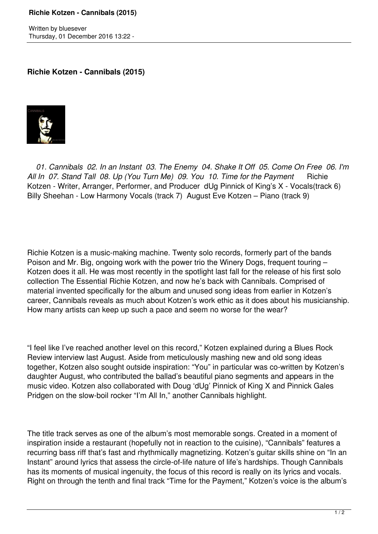Written by bluesever Thursday, 01 December 2016 13:22 -

## **Richie Kotzen - Cannibals (2015)**



 *01. Cannibals 02. In an Instant 03. The Enemy 04. Shake It Off 05. Come On Free 06. I'm* All In 07. Stand Tall 08. Up (You Turn Me) 09. You 10. Time for the Payment Richie Kotzen - Writer, Arranger, Performer, and Producer dUg Pinnick of King's X - Vocals(track 6) Billy Sheehan - Low Harmony Vocals (track 7) August Eve Kotzen – Piano (track 9)

Richie Kotzen is a music-making machine. Twenty solo records, formerly part of the bands Poison and Mr. Big, ongoing work with the power trio the Winery Dogs, frequent touring – Kotzen does it all. He was most recently in the spotlight last fall for the release of his first solo collection The Essential Richie Kotzen, and now he's back with Cannibals. Comprised of material invented specifically for the album and unused song ideas from earlier in Kotzen's career, Cannibals reveals as much about Kotzen's work ethic as it does about his musicianship. How many artists can keep up such a pace and seem no worse for the wear?

"I feel like I've reached another level on this record," Kotzen explained during a Blues Rock Review interview last August. Aside from meticulously mashing new and old song ideas together, Kotzen also sought outside inspiration: "You" in particular was co-written by Kotzen's daughter August, who contributed the ballad's beautiful piano segments and appears in the music video. Kotzen also collaborated with Doug 'dUg' Pinnick of King X and Pinnick Gales Pridgen on the slow-boil rocker "I'm All In," another Cannibals highlight.

The title track serves as one of the album's most memorable songs. Created in a moment of inspiration inside a restaurant (hopefully not in reaction to the cuisine), "Cannibals" features a recurring bass riff that's fast and rhythmically magnetizing. Kotzen's guitar skills shine on "In an Instant" around lyrics that assess the circle-of-life nature of life's hardships. Though Cannibals has its moments of musical ingenuity, the focus of this record is really on its lyrics and vocals. Right on through the tenth and final track "Time for the Payment," Kotzen's voice is the album's